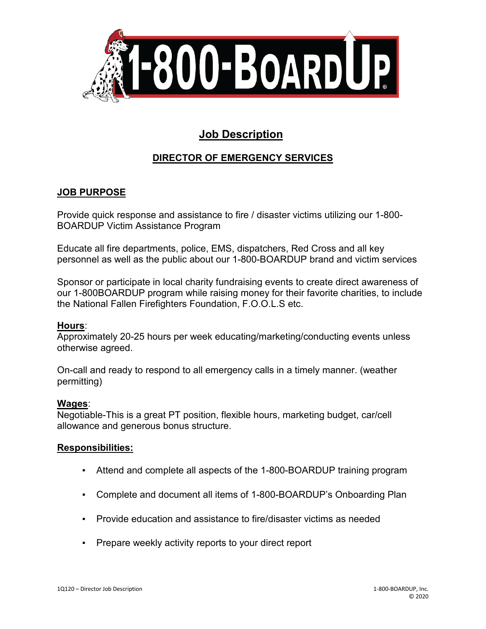

# **Job Description**

## **DIRECTOR OF EMERGENCY SERVICES**

## **JOB PURPOSE**

Provide quick response and assistance to fire / disaster victims utilizing our 1-800- BOARDUP Victim Assistance Program

Educate all fire departments, police, EMS, dispatchers, Red Cross and all key personnel as well as the public about our 1-800-BOARDUP brand and victim services

Sponsor or participate in local charity fundraising events to create direct awareness of our 1-800BOARDUP program while raising money for their favorite charities, to include the National Fallen Firefighters Foundation, F.O.O.L.S etc.

### **Hours**:

Approximately 20-25 hours per week educating/marketing/conducting events unless otherwise agreed.

On-call and ready to respond to all emergency calls in a timely manner. (weather permitting)

#### **Wages**:

Negotiable-This is a great PT position, flexible hours, marketing budget, car/cell allowance and generous bonus structure.

### **Responsibilities:**

- Attend and complete all aspects of the 1-800-BOARDUP training program
- Complete and document all items of 1-800-BOARDUP's Onboarding Plan
- Provide education and assistance to fire/disaster victims as needed
- Prepare weekly activity reports to your direct report